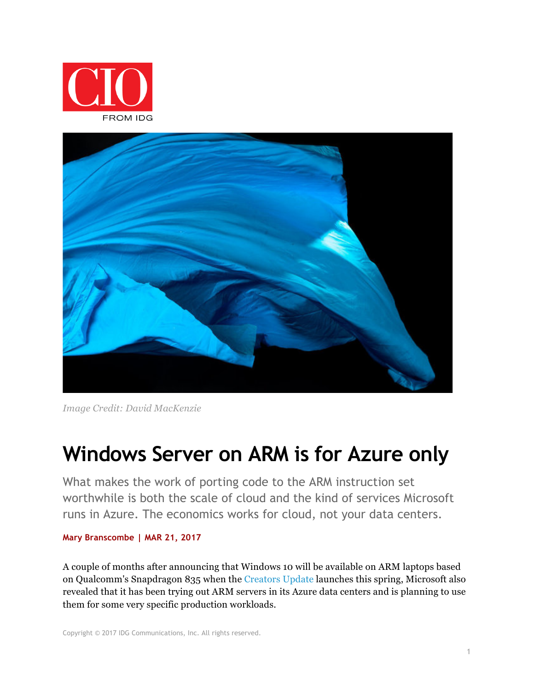



*Image Credit: David MacKenzie*

# **Windows Server on ARM is for Azure only**

What makes the work of porting code to the ARM instruction set worthwhile is both the scale of cloud and the kind of services Microsoft runs in Azure. The economics works for cloud, not your data centers.

#### **Mary Branscombe | MAR 21, 2017**

A couple of months after announcing that Windows 10 will be available on ARM laptops based on Qualcomm's Snapdragon 835 when the Creators Update launches this spring, Microsoft also revealed that it has been trying out ARM servers in its Azure data centers and is planning to use them for some very specific production workloads.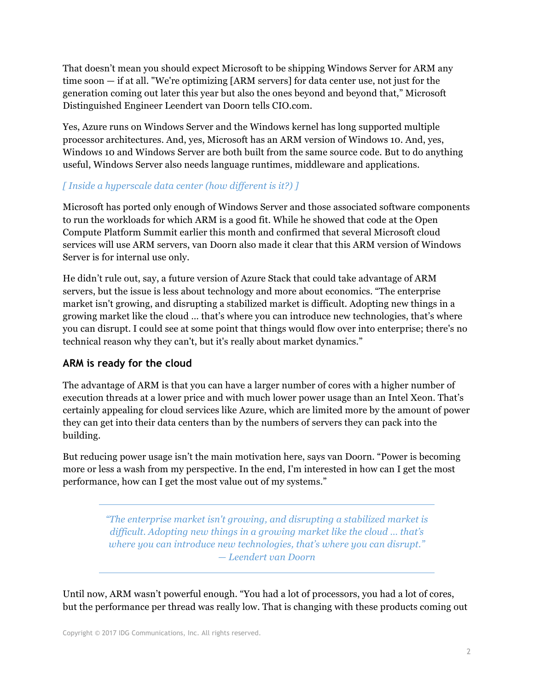That doesn't mean you should expect Microsoft to be shipping Windows Server for ARM any time soon — if at all. "We're optimizing [ARM servers] for data center use, not just for the generation coming out later this year but also the ones beyond and beyond that," Microsoft Distinguished Engineer Leendert van Doorn tells CIO.com.

Yes, Azure runs on Windows Server and the Windows kernel has long supported multiple processor architectures. And, yes, Microsoft has an ARM version of Windows 10. And, yes, Windows 10 and Windows Server are both built from the same source code. But to do anything useful, Windows Server also needs language runtimes, middleware and applications.

#### *[ Inside a hyperscale data center (how different is it?) ]*

Microsoft has ported only enough of Windows Server and those associated software components to run the workloads for which ARM is a good fit. While he showed that code at the Open Compute Platform Summit earlier this month and confirmed that several Microsoft cloud services will use ARM servers, van Doorn also made it clear that this ARM version of Windows Server is for internal use only.

He didn't rule out, say, a future version of Azure Stack that could take advantage of ARM servers, but the issue is less about technology and more about economics. "The enterprise market isn't growing, and disrupting a stabilized market is difficult. Adopting new things in a growing market like the cloud … that's where you can introduce new technologies, that's where you can disrupt. I could see at some point that things would flow over into enterprise; there's no technical reason why they can't, but it's really about market dynamics."

#### **ARM is ready for the cloud**

The advantage of ARM is that you can have a larger number of cores with a higher number of execution threads at a lower price and with much lower power usage than an Intel Xeon. That's certainly appealing for cloud services like Azure, which are limited more by the amount of power they can get into their data centers than by the numbers of servers they can pack into the building.

But reducing power usage isn't the main motivation here, says van Doorn. "Power is becoming more or less a wash from my perspective. In the end, I'm interested in how can I get the most performance, how can I get the most value out of my systems."

> *"The enterprise market isn't growing, and disrupting a stabilized market is difficult. Adopting new things in a growing market like the cloud … that's where you can introduce new technologies, that's where you can disrupt." — Leendert van Doorn*

Until now, ARM wasn't powerful enough. "You had a lot of processors, you had a lot of cores, but the performance per thread was really low. That is changing with these products coming out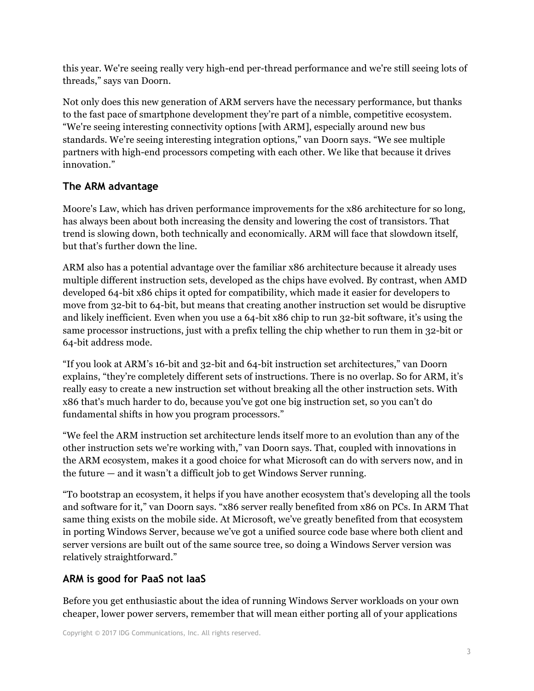this year. We're seeing really very high-end per-thread performance and we're still seeing lots of threads," says van Doorn.

Not only does this new generation of ARM servers have the necessary performance, but thanks to the fast pace of smartphone development they're part of a nimble, competitive ecosystem. "We're seeing interesting connectivity options [with ARM], especially around new bus standards. We're seeing interesting integration options," van Doorn says. "We see multiple partners with high-end processors competing with each other. We like that because it drives innovation."

#### **The ARM advantage**

Moore's Law, which has driven performance improvements for the x86 architecture for so long, has always been about both increasing the density and lowering the cost of transistors. That trend is slowing down, both technically and economically. ARM will face that slowdown itself, but that's further down the line.

ARM also has a potential advantage over the familiar x86 architecture because it already uses multiple different instruction sets, developed as the chips have evolved. By contrast, when AMD developed 64-bit x86 chips it opted for compatibility, which made it easier for developers to move from 32-bit to 64-bit, but means that creating another instruction set would be disruptive and likely inefficient. Even when you use a 64-bit x86 chip to run 32-bit software, it's using the same processor instructions, just with a prefix telling the chip whether to run them in 32-bit or 64-bit address mode.

"If you look at ARM's 16-bit and 32-bit and 64-bit instruction set architectures," van Doorn explains, "they're completely different sets of instructions. There is no overlap. So for ARM, it's really easy to create a new instruction set without breaking all the other instruction sets. With x86 that's much harder to do, because you've got one big instruction set, so you can't do fundamental shifts in how you program processors."

"We feel the ARM instruction set architecture lends itself more to an evolution than any of the other instruction sets we're working with," van Doorn says. That, coupled with innovations in the ARM ecosystem, makes it a good choice for what Microsoft can do with servers now, and in the future — and it wasn't a difficult job to get Windows Server running.

"To bootstrap an ecosystem, it helps if you have another ecosystem that's developing all the tools and software for it," van Doorn says. "x86 server really benefited from x86 on PCs. In ARM That same thing exists on the mobile side. At Microsoft, we've greatly benefited from that ecosystem in porting Windows Server, because we've got a unified source code base where both client and server versions are built out of the same source tree, so doing a Windows Server version was relatively straightforward."

# **ARM is good for PaaS not IaaS**

Before you get enthusiastic about the idea of running Windows Server workloads on your own cheaper, lower power servers, remember that will mean either porting all of your applications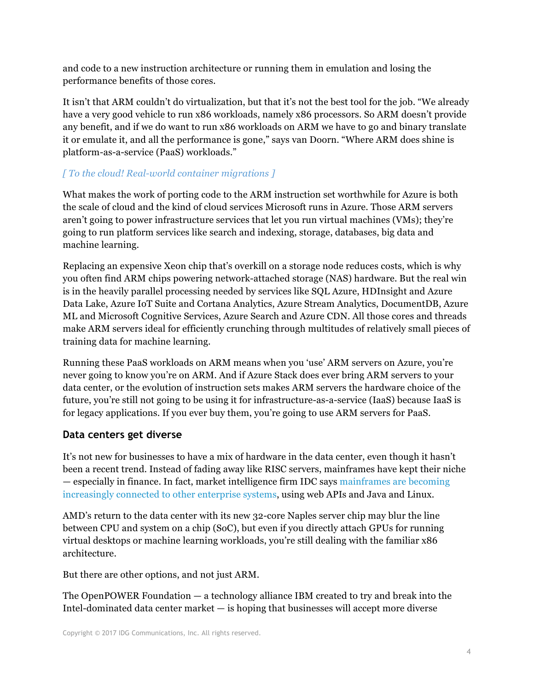and code to a new instruction architecture or running them in emulation and losing the performance benefits of those cores.

It isn't that ARM couldn't do virtualization, but that it's not the best tool for the job. "We already have a very good vehicle to run x86 workloads, namely x86 processors. So ARM doesn't provide any benefit, and if we do want to run x86 workloads on ARM we have to go and binary translate it or emulate it, and all the performance is gone," says van Doorn. "Where ARM does shine is platform-as-a-service (PaaS) workloads."

## *[ To the cloud! Real-world container migrations ]*

What makes the work of porting code to the ARM instruction set worthwhile for Azure is both the scale of cloud and the kind of cloud services Microsoft runs in Azure. Those ARM servers aren't going to power infrastructure services that let you run virtual machines (VMs); they're going to run platform services like search and indexing, storage, databases, big data and machine learning.

Replacing an expensive Xeon chip that's overkill on a storage node reduces costs, which is why you often find ARM chips powering network-attached storage (NAS) hardware. But the real win is in the heavily parallel processing needed by services like SQL Azure, HDInsight and Azure Data Lake, Azure IoT Suite and Cortana Analytics, Azure Stream Analytics, DocumentDB, Azure ML and Microsoft Cognitive Services, Azure Search and Azure CDN. All those cores and threads make ARM servers ideal for efficiently crunching through multitudes of relatively small pieces of training data for machine learning.

Running these PaaS workloads on ARM means when you 'use' ARM servers on Azure, you're never going to know you're on ARM. And if Azure Stack does ever bring ARM servers to your data center, or the evolution of instruction sets makes ARM servers the hardware choice of the future, you're still not going to be using it for infrastructure-as-a-service (IaaS) because IaaS is for legacy applications. If you ever buy them, you're going to use ARM servers for PaaS.

# **Data centers get diverse**

It's not new for businesses to have a mix of hardware in the data center, even though it hasn't been a recent trend. Instead of fading away like RISC servers, mainframes have kept their niche — especially in finance. In fact, market intelligence firm IDC says mainframes are becoming increasingly connected to other enterprise systems, using web APIs and Java and Linux.

AMD's return to the data center with its new 32-core Naples server chip may blur the line between CPU and system on a chip (SoC), but even if you directly attach GPUs for running virtual desktops or machine learning workloads, you're still dealing with the familiar x86 architecture.

But there are other options, and not just ARM.

The OpenPOWER Foundation — a technology alliance IBM created to try and break into the Intel-dominated data center market  $-$  is hoping that businesses will accept more diverse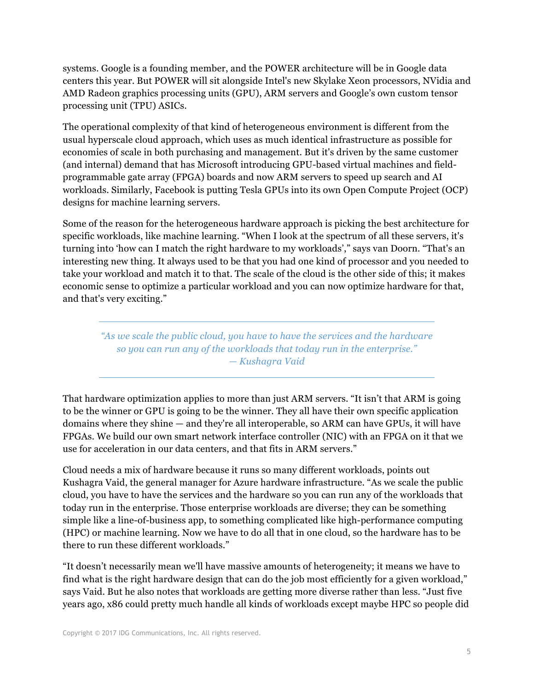systems. Google is a founding member, and the POWER architecture will be in Google data centers this year. But POWER will sit alongside Intel's new Skylake Xeon processors, NVidia and AMD Radeon graphics processing units (GPU), ARM servers and Google's own custom tensor processing unit (TPU) ASICs.

The operational complexity of that kind of heterogeneous environment is different from the usual hyperscale cloud approach, which uses as much identical infrastructure as possible for economies of scale in both purchasing and management. But it's driven by the same customer (and internal) demand that has Microsoft introducing GPU-based virtual machines and fieldprogrammable gate array (FPGA) boards and now ARM servers to speed up search and AI workloads. Similarly, Facebook is putting Tesla GPUs into its own Open Compute Project (OCP) designs for machine learning servers.

Some of the reason for the heterogeneous hardware approach is picking the best architecture for specific workloads, like machine learning. "When I look at the spectrum of all these servers, it's turning into 'how can I match the right hardware to my workloads'," says van Doorn. "That's an interesting new thing. It always used to be that you had one kind of processor and you needed to take your workload and match it to that. The scale of the cloud is the other side of this; it makes economic sense to optimize a particular workload and you can now optimize hardware for that, and that's very exciting."

*"As we scale the public cloud, you have to have the services and the hardware so you can run any of the workloads that today run in the enterprise." — Kushagra Vaid*

That hardware optimization applies to more than just ARM servers. "It isn't that ARM is going to be the winner or GPU is going to be the winner. They all have their own specific application domains where they shine — and they're all interoperable, so ARM can have GPUs, it will have FPGAs. We build our own smart network interface controller (NIC) with an FPGA on it that we use for acceleration in our data centers, and that fits in ARM servers."

Cloud needs a mix of hardware because it runs so many different workloads, points out Kushagra Vaid, the general manager for Azure hardware infrastructure. "As we scale the public cloud, you have to have the services and the hardware so you can run any of the workloads that today run in the enterprise. Those enterprise workloads are diverse; they can be something simple like a line-of-business app, to something complicated like high-performance computing (HPC) or machine learning. Now we have to do all that in one cloud, so the hardware has to be there to run these different workloads."

"It doesn't necessarily mean we'll have massive amounts of heterogeneity; it means we have to find what is the right hardware design that can do the job most efficiently for a given workload," says Vaid. But he also notes that workloads are getting more diverse rather than less. "Just five years ago, x86 could pretty much handle all kinds of workloads except maybe HPC so people did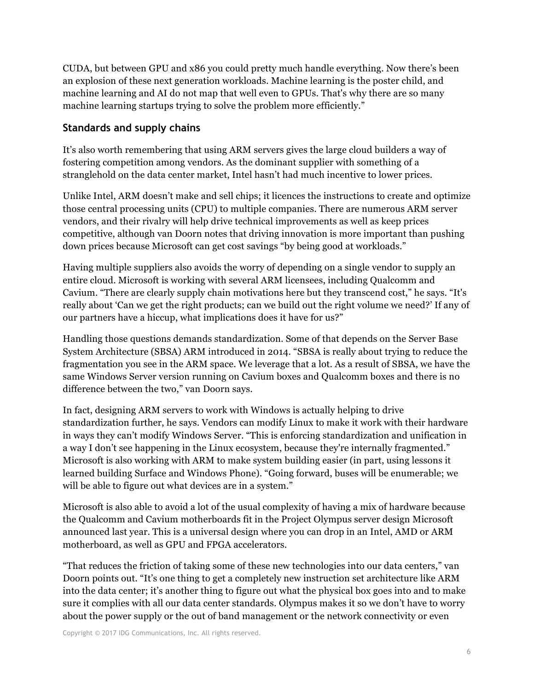CUDA, but between GPU and x86 you could pretty much handle everything. Now there's been an explosion of these next generation workloads. Machine learning is the poster child, and machine learning and AI do not map that well even to GPUs. That's why there are so many machine learning startups trying to solve the problem more efficiently."

### **Standards and supply chains**

It's also worth remembering that using ARM servers gives the large cloud builders a way of fostering competition among vendors. As the dominant supplier with something of a stranglehold on the data center market, Intel hasn't had much incentive to lower prices.

Unlike Intel, ARM doesn't make and sell chips; it licences the instructions to create and optimize those central processing units (CPU) to multiple companies. There are numerous ARM server vendors, and their rivalry will help drive technical improvements as well as keep prices competitive, although van Doorn notes that driving innovation is more important than pushing down prices because Microsoft can get cost savings "by being good at workloads."

Having multiple suppliers also avoids the worry of depending on a single vendor to supply an entire cloud. Microsoft is working with several ARM licensees, including Qualcomm and Cavium. "There are clearly supply chain motivations here but they transcend cost," he says. "It's really about 'Can we get the right products; can we build out the right volume we need?' If any of our partners have a hiccup, what implications does it have for us?"

Handling those questions demands standardization. Some of that depends on the Server Base System Architecture (SBSA) ARM introduced in 2014. "SBSA is really about trying to reduce the fragmentation you see in the ARM space. We leverage that a lot. As a result of SBSA, we have the same Windows Server version running on Cavium boxes and Qualcomm boxes and there is no difference between the two," van Doorn says.

In fact, designing ARM servers to work with Windows is actually helping to drive standardization further, he says. Vendors can modify Linux to make it work with their hardware in ways they can't modify Windows Server. "This is enforcing standardization and unification in a way I don't see happening in the Linux ecosystem, because they're internally fragmented." Microsoft is also working with ARM to make system building easier (in part, using lessons it learned building Surface and Windows Phone). "Going forward, buses will be enumerable; we will be able to figure out what devices are in a system."

Microsoft is also able to avoid a lot of the usual complexity of having a mix of hardware because the Qualcomm and Cavium motherboards fit in the Project Olympus server design Microsoft announced last year. This is a universal design where you can drop in an Intel, AMD or ARM motherboard, as well as GPU and FPGA accelerators.

"That reduces the friction of taking some of these new technologies into our data centers," van Doorn points out. "It's one thing to get a completely new instruction set architecture like ARM into the data center; it's another thing to figure out what the physical box goes into and to make sure it complies with all our data center standards. Olympus makes it so we don't have to worry about the power supply or the out of band management or the network connectivity or even

Copyright © 2017 IDG Communications, Inc. All rights reserved.